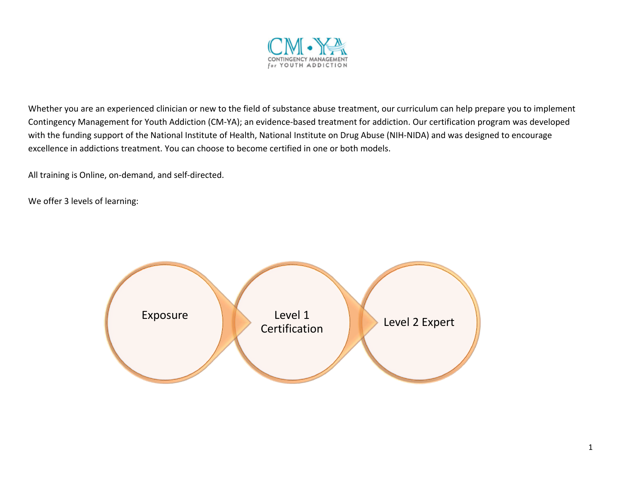

Whether you are an experienced clinician or new to the field of substance abuse treatment, our curriculum can help prepare you to implement Contingency Management for Youth Addiction (CM-YA); an evidence-based treatment for addiction. Our certification program was developed with the funding support of the National Institute of Health, National Institute on Drug Abuse (NIH-NIDA) and was designed to encourage excellence in addictions treatment. You can choose to become certified in one or both models.

All training is Online, on-demand, and self-directed.

We offer 3 levels of learning:

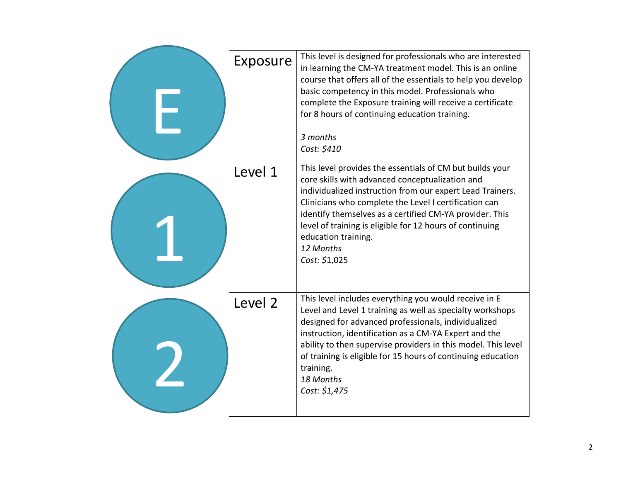| Exposure | This level is designed for professionals who are interested<br>in learning the CM-YA treatment model. This is an online<br>course that offers all of the essentials to help you develop<br>basic competency in this model. Professionals who<br>complete the Exposure training will receive a certificate<br>for 8 hours of continuing education training.<br>3 months<br>Cost: \$410                          |
|----------|----------------------------------------------------------------------------------------------------------------------------------------------------------------------------------------------------------------------------------------------------------------------------------------------------------------------------------------------------------------------------------------------------------------|
| Level 1  | This level provides the essentials of CM but builds your<br>core skills with advanced conceptualization and<br>individualized instruction from our expert Lead Trainers.<br>Clinicians who complete the Level I certification can<br>identify themselves as a certified CM-YA provider. This<br>level of training is eligible for 12 hours of continuing<br>education training.<br>12 Months<br>Cost: \$1,025  |
| Level 2  | This level includes everything you would receive in E<br>Level and Level 1 training as well as specialty workshops<br>designed for advanced professionals, individualized<br>instruction, identification as a CM-YA Expert and the<br>ability to then supervise providers in this model. This level<br>of training is eligible for 15 hours of continuing education<br>training.<br>18 Months<br>Cost: \$1,475 |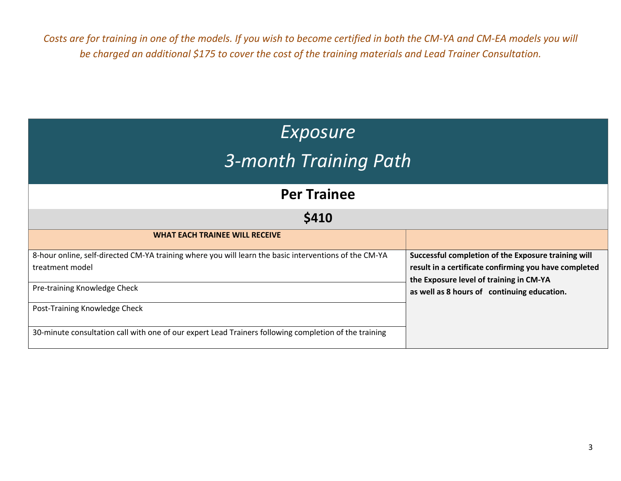*Costs are for training in one of the models. If you wish to become certified in both the CM-YA and CM-EA models you will be charged an additional \$175 to cover the cost of the training materials and Lead Trainer Consultation.* 

| Exposure<br>3-month Training Path                                                                                        |                                                                                                                                                                                                        |  |  |  |
|--------------------------------------------------------------------------------------------------------------------------|--------------------------------------------------------------------------------------------------------------------------------------------------------------------------------------------------------|--|--|--|
| <b>Per Trainee</b>                                                                                                       |                                                                                                                                                                                                        |  |  |  |
| \$410                                                                                                                    |                                                                                                                                                                                                        |  |  |  |
| <b>WHAT EACH TRAINEE WILL RECEIVE</b>                                                                                    |                                                                                                                                                                                                        |  |  |  |
| 8-hour online, self-directed CM-YA training where you will learn the basic interventions of the CM-YA<br>treatment model | Successful completion of the Exposure training will<br>result in a certificate confirming you have completed<br>the Exposure level of training in CM-YA<br>as well as 8 hours of continuing education. |  |  |  |
| Pre-training Knowledge Check                                                                                             |                                                                                                                                                                                                        |  |  |  |
| Post-Training Knowledge Check                                                                                            |                                                                                                                                                                                                        |  |  |  |
| 30-minute consultation call with one of our expert Lead Trainers following completion of the training                    |                                                                                                                                                                                                        |  |  |  |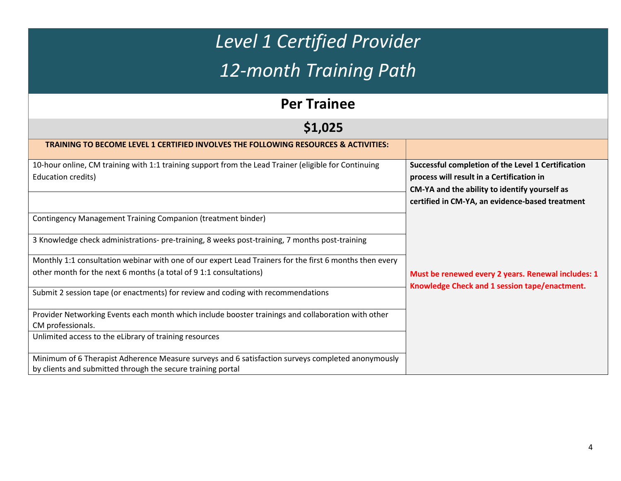| <b>Level 1 Certified Provider</b><br>12-month Training Path                                                                                                                   |                                                                                                                                                                                                     |  |  |  |
|-------------------------------------------------------------------------------------------------------------------------------------------------------------------------------|-----------------------------------------------------------------------------------------------------------------------------------------------------------------------------------------------------|--|--|--|
| <b>Per Trainee</b>                                                                                                                                                            |                                                                                                                                                                                                     |  |  |  |
| \$1,025                                                                                                                                                                       |                                                                                                                                                                                                     |  |  |  |
| <b>TRAINING TO BECOME LEVEL 1 CERTIFIED INVOLVES THE FOLLOWING RESOURCES &amp; ACTIVITIES:</b>                                                                                |                                                                                                                                                                                                     |  |  |  |
| 10-hour online, CM training with 1:1 training support from the Lead Trainer (eligible for Continuing<br><b>Education credits)</b>                                             | Successful completion of the Level 1 Certification<br>process will result in a Certification in<br>CM-YA and the ability to identify yourself as<br>certified in CM-YA, an evidence-based treatment |  |  |  |
| Contingency Management Training Companion (treatment binder)                                                                                                                  |                                                                                                                                                                                                     |  |  |  |
| 3 Knowledge check administrations- pre-training, 8 weeks post-training, 7 months post-training                                                                                |                                                                                                                                                                                                     |  |  |  |
| Monthly 1:1 consultation webinar with one of our expert Lead Trainers for the first 6 months then every<br>other month for the next 6 months (a total of 9 1:1 consultations) | Must be renewed every 2 years. Renewal includes: 1                                                                                                                                                  |  |  |  |
| Submit 2 session tape (or enactments) for review and coding with recommendations                                                                                              | Knowledge Check and 1 session tape/enactment.                                                                                                                                                       |  |  |  |
| Provider Networking Events each month which include booster trainings and collaboration with other<br>CM professionals.                                                       |                                                                                                                                                                                                     |  |  |  |
| Unlimited access to the eLibrary of training resources                                                                                                                        |                                                                                                                                                                                                     |  |  |  |
| Minimum of 6 Therapist Adherence Measure surveys and 6 satisfaction surveys completed anonymously<br>by clients and submitted through the secure training portal              |                                                                                                                                                                                                     |  |  |  |